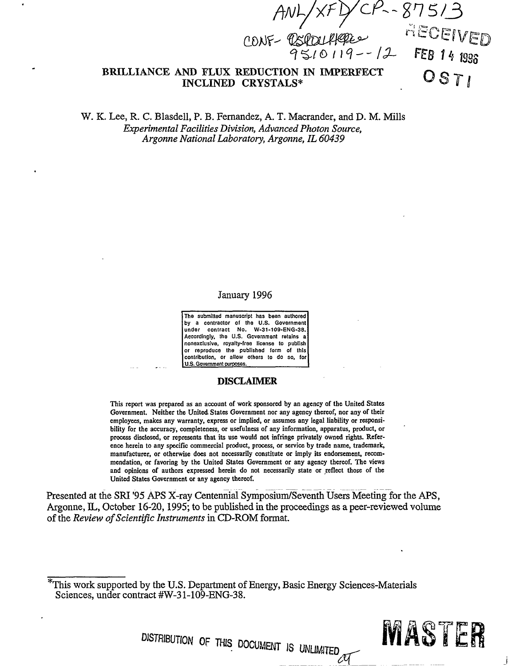*ftNLMy<sup>c</sup> r^%ns/3* 

*FEB 1*4 *m* **so** 

**1 C** 

## **BRILLIANCE AND FLUX REDUCTION IN IMPERFECT INCLINED CRYSTALS\***

W. K. Lee, R. C. Blasdell, P. B. Fernandez, A. T. Macrander, and D. M. Mills *Experimental Facilities Division, Advanced Photon Source, Argonne National Laboratory, Argonne, IL 60439* 

### January 1996

**The submitted manuscript has been authored by a contractor of the U.S. Government under contract No. W-31-109-ENG-38. Accordingly, the U.S. Government retains a nonexclusive, royalty-free license to publish or reproduce the published form of this contribution, or allow others to do so, for U.S. Government purposes.** 

### **DISCLAIMER**

This report was prepared as an account of work sponsored by an agency of the United States Government. Neither the United States Government nor any agency thereof, nor any of their employees, makes any warranty, express or implied, or assumes any legal liability or responsibility for the accuracy, completeness, or usefulness of any information, apparatus, product, or process disclosed, or represents that its use would not infringe privately owned rights. Reference herein to any specific commercial product, process, or service by trade name, trademark, manufacturer, or otherwise does not necessarily constitute or imply its endorsement, recommendation, or favoring by the United States Government or any agency thereof. The views and opinions of authors expressed herein do not necessarily state or reflect those of the United States Government or any agency thereof.

Presented at the SRI '95 APS X-ray Centennial Symposium/Seventh Users Meeting for the APS, Argonne, IL, October 16-20,1995; to be published in the proceedings as a peer-reviewed volume of the *Review of Scientific Instruments* in CD-ROM format.

This work supported by the U.S. Department of Energy, Basic Energy Sciences-Materials Sciences, under contract #W-31-109-ENG-38.



**DISTRIBUTION OF THIS DOCUMfflT IS UNLIMITED**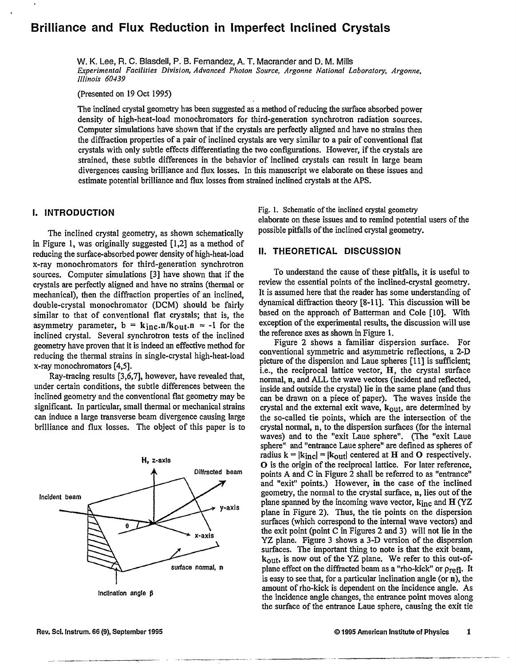# **Brilliance and Flux Reduction in Imperfect Inclined Crystals**

W. K. Lee, R. C. Blasdell, P. B. Fernandez, A. T. Macrander and D. M. Mills *Experimental Facilities Division, Advanced Photon Source, Argonne National Laboratory, Argonne, Illinois 60439* 

(Presented on 19 Oct 1995)

The inclined crystal geometry has been suggested as a method of reducing the surface absorbed power density of high-heat-load monochromators for third-generation synchrotron radiation sources. Computer simulations have shown that if the crystals are perfectly aligned and have no strains then the diffraction properties of a pair of inclined crystals are very similar to a pair of conventional flat crystals with only subtle effects differentiating the two configurations. However, if the crystals are strained, these subtle differences in the behavior of inclined crystals can result in large beam divergences causing brilliance and flux losses. In this manuscript we elaborate on these issues and estimate potential brilliance and flux losses from strained inclined crystals at the APS.

### I. INTRODUCTION

The inclined crystal geometry, as shown schematically in Figure 1, was originally suggested [1,2] as a method of reducing the surface-absorbed power density of high-heat-load x-ray monochromators for third-generation synchrotron sources. Computer simulations [3] have shown that if the crystals are perfectly aligned and have no strains (thermal or mechanical), then the diffraction properties of an inclined, double-crystal monochromator (DCM) should be fairly similar to that of conventional flat crystals; that is, the asymmetry parameter,  $b = kinc.n/k<sub>out</sub>.n \approx -1$  for the inclined crystal. Several synchrotron tests of the inclined geometry have proven that it is indeed an effective method for reducing the thermal strains in single-crystal high-heat-load x-ray monochromators [4,5].

Ray-tracing results [3,6,7], however, have revealed that, under certain conditions, the subtle differences between the inclined geometry and the conventional flat geometry may be significant. In particular, small thermal or mechanical strains can induce a large transverse beam divergence causing large brilliance and flux losses. The object of this paper is to



Inclination angle  $\beta$ 

Fig. 1. Schematic of the inclined crystal geometry elaborate on these issues and to remind potential users of the possible pitfalls of the inclined crystal geometry.

### **II. THEORETICAL DISCUSSION**

To understand the cause of these pitfalls, it is useful to review the essential points of the inclined-crystal geometry. It is assumed here that the reader has some understanding of dynamical diffraction theory [8-11]. This discussion will be based on the approach of Batterman and Cole [10]. With exception of the experimental results, the discussion will use the reference axes as shown in Figure 1.

Figure 2 shows a familiar dispersion surface. For conventional symmetric and asymmetric reflections, a 2-D picture of the dispersion and Laue spheres [11] is sufficient; i.e., the reciprocal lattice vector, H, the crystal surface normal, n, and ALL the wave vectors (incident and reflected, inside and outside the crystal) lie in the same plane (and thus can be drawn on a piece of paper). The waves inside the crystal and the external exit wave, k<sub>out</sub>, are determined by the so-called tie points, which are the intersection of the crystal normal, n, to the dispersion surfaces (for the internal waves) and to the "exit Laue sphere". (The "exit Laue sphere" and "entrance Laue sphere" are defined as spheres of radius  $k = |k_{inc}| = |k_{out}|$  centered at H and O respectively. O is the origin of the reciprocal lattice. For later reference, points A and C in Figure 2 shall be referred to as "entrance" and "exit" points.) However, in the case of the inclined geometry, the normal to the crystal surface, n, lies out of the plane spanned by the incoming wave vector,  $\text{kin}_c$  and  $\text{H}$  (YZ) plane in Figure 2). Thus, the tie points on the dispersion surfaces (which correspond to the internal wave vectors) and the exit point (point C in Figures 2 and 3) will not lie in the YZ plane. Figure 3 shows a 3-D version of the dispersion surfaces. The important thing to note is that the exit beam,  $k_{\text{out}}$ , is now out of the YZ plane. We refer to this out-ofplane effect on the diffracted beam as a "rho-kick" or  $\rho_{refl}$ . It is easy to see that, for a particular inclination angle (or n), the amount of rho-kick is dependent on the incidence angle. As the incidence angle changes, the entrance point moves along the surface of the entrance Laue sphere, causing the exit tie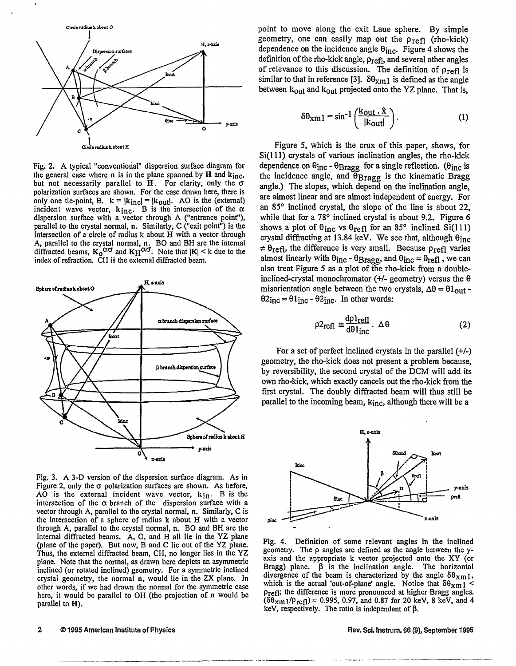

Fig. 2. A typical "conventional" dispersion surface diagram for the general case where n is in the plane spanned by  $H$  and  $k_{\text{inc}}$ , but not necessarily parallel to H. For clarity, only the  $\sigma$ polarization surfaces are shown. For the case drawn here, there is only one tie-point, B.  $k = |k_{\text{incl}}| = |k_{\text{out}}|$ . AO is the (external) incident wave vector,  $k_{inc}$ . B is the intersection of the  $\alpha$ dispersion surface with a vector through A ("entrance point"), parallel to the crystal normal, n. Similarly, C ("exit point") is the intersection of a circle of radius k about H with a vector through A, parallel to the crystal normal, n. BO and BH are the internal diffracted beams,  $K_0^{\alpha\sigma}$  and  $K_H^{\alpha\sigma}$ . Note that  $|K| < k$  due to the index of refraction. CH is the external diffracted beam.



Fig. 3. A 3-D version of the dispersion surface diagram. As in Figure 2, only the  $\sigma$  polarization surfaces are shown. As before, AO is the external incident wave vector, k **in-** B is the intersection of the  $\alpha$  branch of the dispersion surface with a vector through A, parallel to the crystal normal, n. Similarly, C is the intersection of a sphere of radius k about H with a vector through A, parallel to the crystal normal, n. BO and BH are the internal diffracted beams. A, O, and H all lie in the YZ plane (plane of the paper). But now, B and C lie out of the YZ plane. Thus, the external diffracted beam, CH, no longer lies in the YZ plane. Note that the normal, as drawn here depicts an asymmetric inclined (or rotated inclined) geometry. For a symmetric inclined crystal geometry, the normal n, would lie in the ZX plane. In other words, if we had drawn the normal for the symmetric case here, it would be parallel to OH (the projection of n would be parallel to H).

point to move along the exit Laue sphere. By simple geometry, one can easily map out the  $\rho_{refl}$  (rho-kick) dependence on the incidence angle  $\theta_{inc}$ . Figure 4 shows the definition of the rho-kick angle,  $\rho_{refl}$ , and several other angles of relevance to this discussion. The definition of  $p_{refl}$  is similar to that in reference [3].  $\delta \theta_{\text{X}}/1$  is defined as the angle between  $k_{\text{out}}$  and  $k_{\text{out}}$  projected onto the YZ plane. That is,

$$
\delta \theta_{\rm xm1} = \sin^{-1} \left( \frac{k_{\rm out} \cdot \hat{x}}{|k_{\rm out}|} \right). \tag{1}
$$

Figure 5, which is the crux of this paper, shows, for Si(lll) crystals of various inclination angles, the rho-kick dependence on  $\theta_{\text{inc}}$  -  $\theta_{\text{Bragg}}$  for a single reflection. ( $\theta_{\text{inc}}$  is the incidence angle, and  $\widetilde{\Theta}_{\text{Bragg}}$  is the kinematic Bragg angle.) The slopes, which depend on the inclination angle, are almost linear and are almost independent of energy. For an 85° inclined crystal, the slope of the line is about 22, while that for a 78° inclined crystal is about 9.2. Figure 6 shows a plot of  $\theta_{\text{inc}}$  vs  $\theta_{\text{refl}}$  for an 85° inclined Si(111) crystal diffracting at 13.84 keV. We see that, although  $\theta_{inc}$  $\neq \theta_{\text{refl}}$ , the difference is very small. Because  $\rho_{\text{refl}}$  varies almost linearly with  $\theta_{\text{inc}} - \theta_{\text{Rraq},\alpha}$  and  $\theta_{\text{inc}} \approx \theta_{\text{refl}}$ , we can also treat Figure 5 as a plot of the rho-kick from a doubleinclined-crystal monochromator (+/- geometry) versus the  $\theta$ misorientation angle between the two crystals.  $\Delta\theta = \theta 1_{\text{out}}$ .  $\theta$ 2inc =  $\theta$ 1 inc -  $\theta$ 2inc. In other words:

$$
\rho_{{\rm Tefl}} \cong \frac{\text{d}\rho_{{\rm I}ref}}{\text{d}\theta_{{\rm Inc}}} \cdot \Delta\theta \tag{2}
$$

For a set of perfect inclined crystals in the parallel (+/-) geometry, the rho-kick does not present a problem because, by reversibility, the second crystal of the DCM will add its own rho-kick, which exactly cancels out the rho-kick from the first crystal. The doubly diffracted beam will thus still be parallel to the incoming beam,  $k_{inc}$ , although there will be a



Fig. 4. Definition of some relevant angles in the inclined geometry. The p angles are defined as the angle between the yaxis and the appropriate k vector projected onto the XY (or Bragg) plane.  $\beta$  is the inclination angle. The horizontal divergence of the beam is characterized by the angle  $\delta\theta_{\text{xm}}$ . which is the actual 'out-of-plane' angle. Notice that  $\delta\theta_{\text{X}}$  = 1  $p_{refl}$ ; the difference is more pronounced at higher Bragg angles.  $(\delta \hat{\theta}_{xm1}/\rho_{refl}) \approx 0.995, 0.97,$  and 0.87 for 20 keV, 8 keV, and 4 keV, respectively. The ratio is independant of  $\beta$ .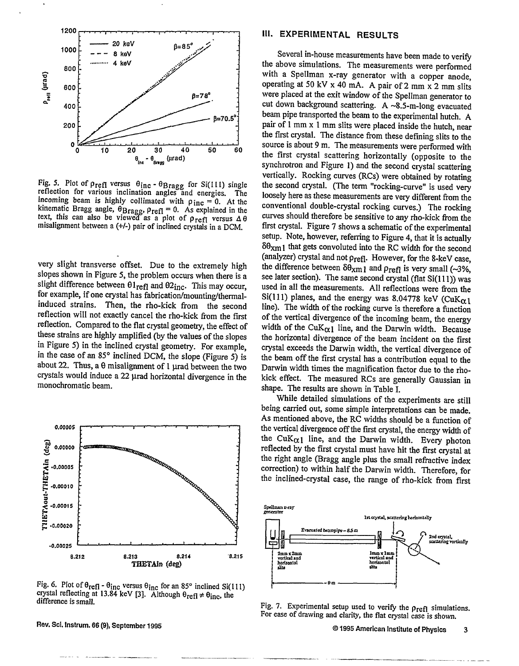

Fig. 5. Plot of  $\rho_{refl}$  versus  $\theta_{inc}$  -  $\theta_{Bragg}$  for Si(111) single reflection for various inclination angles and energies. The incoming beam is highly collimated with  $p_{inc} = 0$ . At the kinematic Bragg angle,  $\theta_{\text{Brage}}$ ,  $\rho_{\text{refl}} = 0$ . As explained in the text, this can also be viewed as a plot of  $\rho_{refl}$  versus  $\Delta\theta$ misalignment between a (+/-) pair of inclined crystals in a DCM.

very slight transverse offset. Due to the extremely high slopes shown in Figure 5, the problem occurs when there is a slight difference between  $\theta 1_{refl}$  and  $\theta 2_{inc}$ . This may occur, for example, if one crystal has fabrication/mounting/thermalinduced strains. Then, the rho-kick from the second reflection will not exactly cancel the rho-kick from the first reflection. Compared to the flat crystal geometry, the effect of these strains are highly amplified (by the values of the slopes in Figure 5) in the inclined crystal geometry. For example, in the case of an 85° inclined DCM, the slope (Figure 5) is about 22. Thus, a  $\theta$  misalignment of 1 µrad between the two crystals would induce a 22 µrad horizontal divergence in the monochromatic beam.



Fig. 6. Plot of  $\theta_{refl}$  -  $\theta_{inc}$  versus  $\theta_{inc}$  for an 85° inclined Si(111) crystal reflecting at 13.84 keV [3]. Although  $\theta_{\text{refl}} \neq \theta_{\text{inc}}$ , the difference is small.

# Rev. Sci. Instrum. 66 (9), September 1995 **Contract Contract Contract Contract Contract Contract Contract Contract Contract Contract Contract Contract Contract Contract Contract Contract Contract Contract Contract Contract**

### **III. EXPERIMENTAL RESULTS**

Several in-house measurements have been made to verify the above simulations. The measurements were performed with a Spellman x-ray generator with a copper anode, operating at 50 kV x 40 mA. A pair of 2 mm x 2 mm slits were placed at the exit window of the Spellman generator to cut down background scattering. A ~8.5-m-long evacuated beam pipe transported the beam to the experimental hutch. A pair of 1 mm x 1 mm slits were placed inside the hutch, near the first crystal. The distance from these defining slits to the source is about 9 m. The measurements were performed with the first crystal scattering horizontally (opposite to the synchrotron and Figure 1) and the second crystal scattering vertically. Rocking curves (RCs) were obtained by rotating the second crystal. (The term "rocking-curve" is used very loosely here as these measurements are very different from the conventional double-crystal rocking curves.) The rocking curves should therefore be sensitive to any rho-kick from the first crystal. Figure 7 shows a schematic of the experimental setup. Note, however, referring to Figure 4, that it is actually  $\delta \theta_{\text{X} \text{m}}$  that gets convoluted into the RC width for the second (analyzer) crystal and not  $\rho_{refl}$ . However, for the 8-keV case, the difference between  $\delta\theta_{\text{X}}$  and  $\rho_{\text{refl}}$  is very small (~3%, see later section). The same second crystal (flat Si(111)) was used in all the measurements. All reflections were from the  $Si(111)$  planes, and the energy was 8.04778 keV ( $CuK_{\alpha,1}$ ) line). The width of the rocking curve is therefore a function of the vertical divergence of the incoming beam, the energy width of the  $CuK_{\alpha'1}$  line, and the Darwin width. Because the horizontal divergence of the beam incident on the first crystal exceeds the Darwin width, the vertical divergence of the beam off the first crystal has a contribution equal to the Darwin width times the magnification factor due to the rhokick effect. The measured RCs are generally Gaussian in shape. The results are shown in Table I.

While detailed simulations of the experiments are still being carried out, some simple interpretations can be made. As mentioned above, the RC widths should be a function of the vertical divergence off the first crystal, the energy width of the CuK $\alpha$ <sub>1</sub> line, and the Darwin width. Every photon reflected by the first crystal must have hit the first crystal at the right angle (Bragg angle plus the small refractive index correction) to within half the Darwin width. Therefore, for the inclined-crystal case, the range of rho-kick from first



Fig. 7. Experimental setup used to verify the  $\rho_{refl}$  simulations. For ease of drawing and clarity, the flat crystal case is shown.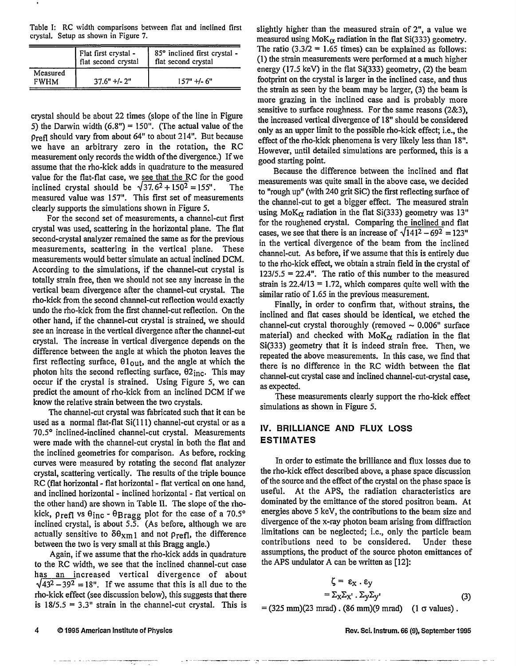Table I: RC width comparisons between flat and inclined first crystal. Setup as shown in Figure 7.

|                         | Flat first crystal -<br>flat second crystal | 85° inclined first crystal -<br>flat second crystal |
|-------------------------|---------------------------------------------|-----------------------------------------------------|
| Measured<br><b>FWHM</b> | $37.6" +/- 2"$                              | $157" + 6"$                                         |

crystal should be about 22 times (slope of the line in Figure 5) the Darwin width  $(6.8") = 150"$ . (The actual value of the  $p_{refl}$  should vary from about 64" to about 214". But because we have an arbitrary zero in the rotation, the RC measurement only records the width of the divergence.) If we assume that the rho-kick adds in quadrature to the measured value for the flat-flat case, we see that the RC for the good inclined crystal should be  $\sqrt{37.6^2 + 150^2} = 155$ ". The measured value was 157". This first set of measurements clearly supports the simulations shown in Figure 5.

For the second set of measurements, a channel-cut first crystal was used, scattering in the horizontal plane. The flat second-crystal analyzer remained the same as for the previous measurements, scattering in the vertical plane. These measurements would better simulate an actual inclined DCM. According to the simulations, if the channel-cut crystal is totally strain free, then we should not see any increase in the vertical beam divergence after the channel-cut crystal. The rho-kick from the second channel-cut reflection would exactly undo the rho-kick from the first channel-cut reflection. On the other hand, if the channel-cut crystal is strained, we should see an increase in the vertical divergence after the channel-cut crystal. The increase in vertical divergence depends on the difference between the angle at which the photon leaves the first reflecting surface,  $\theta_{\text{l}^{\text{out}}}$  and the angle at which the photon hits the second reflecting surface,  $\theta$ 2<sub>inc</sub>. This may occur if the crystal is strained. Using Figure 5, we can predict the amount of rho-kick from an inclined DCM if we know the relative strain between the two crystals.

The channel-cut crystal was fabricated such that it can be used as a normal flat-flat Si(111) channel-cut crystal or as a 70.5° inclined-inclined channel-cut crystal. Measurements were made with the channel-cut crystal in both the flat and the inclined geometries for comparison. As before, rocking curves were measured by rotating the second flat analyzer crystal, scattering vertically. The results of the triple bounce RC (flat horizontal - flat horizontal - flat vertical on one hand, and inclined horizontal - inclined horizontal - flat vertical on the other hand) are shown in Table II. The slope of the rhokick,  $\rho_{refl}$  vs  $\theta_{inc}$  -  $\theta_{Bragg}$  plot for the case of a 70.5° inclined crystal, is about 5.5. (As before, although we are actually sensitive to  $\delta\theta_{\text{X}}$  and not  $\rho_{\text{refl}}$ , the difference between the two is very small at this Bragg angle.)

Again, if we assume that the rho-kick adds in quadrature to the RC width, we see that the inclined channel-cut case has an increased vertical divergence of about  $\sqrt{43^2 - 39^2} = 18$ ". If we assume that this is all due to the rho-kick effect (see discussion below), this suggests that there is  $18/5.5 = 3.3$ " strain in the channel-cut crystal. This is

slightly higher than the measured strain of 2", a value we measured using Mo $K_{\alpha}$  radiation in the flat Si(333) geometry. The ratio  $(3.3/2 = 1.65$  times) can be explained as follows: (1) the strain measurements were performed at a much higher energy (17.5 keV) in the flat Si(333) geometry, (2) the beam footprint on the crystal is larger in the inclined case, and thus the strain as seen by the beam may be larger, (3) the beam is more grazing in the inclined case and is probably more sensitive to surface roughness. For the same reasons (2&3), the increased vertical divergence of 18" should be considered only as an upper limit to the possible rho-kick effect; i.e., the effect of the rho-kick phenomena is very likely less than 18". However, until detailed simulations are performed, this is a good starting point.

Because the difference between the inclined and flat measurements was quite small in the above case, we decided to "rough up" (with 240 grit SiC) the first reflecting surface of the channel-cut to get a bigger effect. The measured strain using MoK $\alpha$  radiation in the flat Si(333) geometry was 13" for the roughened crystal. Comparing the inclined and flat cases, we see that there is an increase of  $\sqrt{141^2 - 69^2} = 123$ " in the vertical divergence of the beam from the inclined channel-cut. As before, if we assume that this is entirely due to the rho-kick effect, we obtain a strain field in the crystal of  $123/5.5 = 22.4$ ". The ratio of this number to the measured strain is  $22.4/13 = 1.72$ , which compares quite well with the similar ratio of 1.65 in the previous measurement.

Finally, in order to confirm that, without strains, the inclined and flat cases should be identical, we etched the channel-cut crystal thoroughly (removed  $\sim 0.006$ " surface material) and checked with  $M \circ K_{\alpha}$  radiation in the flat Si(333) geometry that it is indeed strain free. Then, we repeated the above measurements. In this case, we find that there is no difference in the RC width between the flat channel-cut crystal case and inclined channel-cut-crystal case, as expected.

These measurements clearly support the rho-kick effect simulations as shown in Figure 5.

### **IV. BRILLIANCE AND FLUX LOSS ESTIMATES**

In order to estimate the brilliance and flux losses due to the rho-kick effect described above, a phase space discussion of the source and the effect of the crystal on the phase space is useful. At the APS, the radiation characteristics are dominated by the emittance of the stored positron beam. At energies above 5 keV, the contributions to the beam size and divergence of the x-ray photon beam arising from diffraction limitations can be neglected; i.e., only the particle beam contributions need to be considered. Under these assumptions, the product of the source photon emittances of the APS undulator A can be written as [12]:

$$
\zeta = \varepsilon_{X} \cdot \varepsilon_{Y}
$$
  
=  $\Sigma_{X} \Sigma_{X} \cdot \Sigma_{Y} \Sigma_{Y}$  (3)

 $= (325 \text{ mm})(23 \text{ mrad})$ .  $(86 \text{ mm})(9 \text{ mrad})$   $(1 \text{sigma values})$ .

4 © 1995 American Institute of Physics Rev. Sci. Instrum. 66 (9), September 1995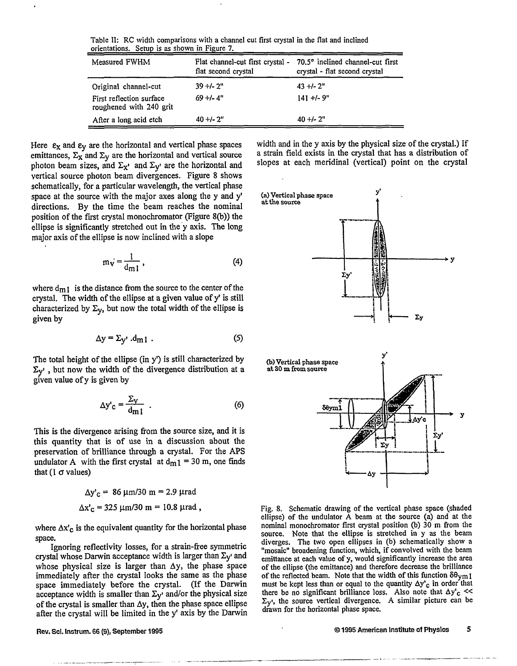Table II: RC width comparisons with a channel cut first crystal in the flat and inclined orientations. Setup is as shown in Figure 7.

| Measured FWHM                                       | flat second crystal | Flat channel-cut first crystal - 70.5° inclined channel-cut first<br>crystal - flat second crystal |  |  |
|-----------------------------------------------------|---------------------|----------------------------------------------------------------------------------------------------|--|--|
| Original channel-cut                                | $39 + 2$ "          | $43 + 2$                                                                                           |  |  |
| First reflection surface<br>roughened with 240 grit | $69 + 4$            | $141 + 9"$                                                                                         |  |  |
| After a long acid etch                              | $40 + 2$ "          | $40 + 2$ "                                                                                         |  |  |

Here  $\epsilon_X$  and  $\epsilon_Y$  are the horizontal and vertical phase spaces emittances,  $\Sigma_X$  and  $\Sigma_Y$  are the horizontal and vertical source photon beam sizes, and  $\Sigma_{X}$  and  $\Sigma_{Y}$  are the horizontal and vertical source photon beam divergences. Figure 8 shows schematically, for a particular wavelength, the vertical phase space at the source with the major axes along the y and y' directions. By the time the beam reaches the nominal position of the first crystal monochromator (Figure 8(b)) the ellipse is significantly stretched out in the y axis. The long major axis of the ellipse is now inclined with a slope

$$
m_{\mathbf{V}} = \frac{1}{d_{\mathbf{m}} \mathbf{1}},\tag{4}
$$

where  $d_{m1}$  is the distance from the source to the center of the crystal. The width of the ellipse at a given value of y' is still characterized by  $\Sigma_y$ , but now the total width of the ellipse is given by

$$
\Delta y = \Sigma_{y'} \cdot d_{m1} \tag{5}
$$

The total height of the ellipse (in y') is still characterized by  $\Sigma_{V}$ , but now the width of the divergence distribution at a given value of y is given by

$$
\Delta y'_{\rm c} = \frac{\Sigma y}{d_{\rm m1}} \quad . \tag{6}
$$

This is the divergence arising from the source size, and it is this quantity that is of use in a discussion about the preservation of brilliance through a crystal. For the APS undulator A with the first crystal at  $d_{m1} = 30$  m, one finds that  $(1 \sigma$  values)

$$
\Delta y'_{\rm c} = 86 \,\mu\text{m}/30 \text{ m} = 2.9 \,\mu\text{rad}
$$
  
 $\Delta x'_{\rm c} = 325 \,\mu\text{m}/30 \text{ m} = 10.8 \,\mu\text{rad}$ ,

where  $\Delta x'_{c}$  is the equivalent quantity for the horizontal phase space.

Ignoring reflectivity losses, for a strain-free symmetric crystal whose Darwin acceptance width is larger than  $\Sigma_{V}$  and whose physical size is larger than  $\Delta y$ , the phase space immediately after the crystal looks the same as the phase space immediately before the crystal. (If the Darwin acceptance width is smaller than  $\Sigma_{V}$  and/or the physical size of the crystal is smaller than  $\Delta y$ , then the phase space ellipse after the crystal will be limited in the y' axis by the Darwin

width and in the y axis by the physical size of the crystal.) If a strain field exists in the crystal that has a distribution of slopes at each meridinal (vertical) point on the crystal



Fig. 8. Schematic drawing of the vertical phase space (shaded ellipse) of the undulator A beam at the source (a) and at the nominal monochromator first crystal position (b) 30 m from the source. Note that the ellipse is stretched in y as the beam diverges. The two open ellipses in (b) schematically show a "mosaic" broadening function, which, if convolved with the beam emittance at each value of y, would significantly increase the area of the ellipse (the emittance) and therefore decrease the brilliance of the reflected beam. Note that the width of this function  $\delta\theta_{\rm ym1}$ must be kept less than or equal to the quantity  $\Delta y'_{c}$  in order that there be no significant brilliance loss. Also note that  $\Delta y'_{\rm c}$  <<  $\Sigma_{V}$ , the source vertical divergence. A similar picture can be drawn for the horizontal phase space.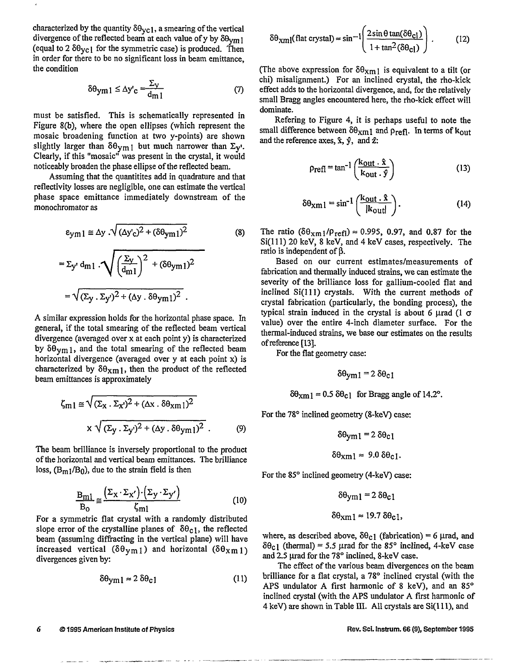characterized by the quantity  $\delta \theta_{\rm yc}$ 1, a smearing of the vertical divergence of the reflected beam at each value of y by  $\delta\theta_{\text{V}}$ (equal to 2  $\delta\theta_{\text{yc}}$ ) for the symmetric case) is produced. Then in order for there to be no significant loss in beam emittance, the condition

$$
\delta \theta_{\text{ym1}} \le \Delta y'_{\text{c}} = \frac{\Sigma y}{d_{\text{m1}}} \tag{7}
$$

must be satisfied. This is schematically represented in Figure 8(b), where the open ellipses (which represent the mosaic broadening function at two y-points) are shown slightly larger than  $\delta\theta_{\text{V}}$  but much narrower than  $\Sigma_{\text{V}}$ . Clearly, if this "mosaic" was present in the crystal, it would noticeably broaden the phase ellipse of the reflected beam.

Assuming that the quantities add in quadrature and that reflectivity losses are negligible, one can estimate the vertical phase space emittance immediately downstream of the monochromator as

$$
\varepsilon_{\text{yml}} \equiv \Delta y \cdot \sqrt{(\Delta y' c)^2 + (\delta \theta_{\text{yml}})^2}
$$
(8)  

$$
= \Sigma_{\text{y'} d_{\text{ml}}} \cdot \sqrt{\left(\frac{\Sigma_{\text{y}}}{d_{\text{ml}}}\right)^2 + (\delta \theta_{\text{yml}})^2}
$$

$$
= \sqrt{(\Sigma_{\text{y}} \cdot \Sigma_{\text{y'}})^2 + (\Delta y \cdot \delta \theta_{\text{yml}})^2}.
$$

A similar expression holds for the horizontal phase space. In general, if the total smearing of the reflected beam vertical divergence (averaged over x at each point y) is characterized by  $\delta\theta_{\text{y}}$ , and the total smearing of the reflected beam horizontal divergence (averaged over y at each point x) is characterized by  $\delta\theta_{\text{X}}$  1, then the product of the reflected beam emittances is approximately

$$
\zeta_{m1} \approx \sqrt{(\Sigma_{X} \cdot \Sigma_{X})^2 + (\Delta x \cdot \delta \theta_{xm1})^2}
$$

$$
\times \sqrt{(\Sigma_{Y} \cdot \Sigma_{Y})^2 + (\Delta y \cdot \delta \theta_{ym1})^2}.
$$
 (9)

The beam brilliance is inversely proportional to the product of the horizontal and vertical beam emittances. The brilliance loss,  $(B_{m1}/B_0)$ , due to the strain field is then

$$
\frac{\mathbf{B}_{\mathrm{m1}}}{\mathbf{B}_{\mathrm{O}}} \cong \frac{(\Sigma_{\mathrm{X}} \cdot \Sigma_{\mathrm{X}}') \cdot (\Sigma_{\mathrm{Y}} \cdot \Sigma_{\mathrm{Y}}')}{\zeta_{\mathrm{m1}}} \tag{10}
$$

For a symmetric flat crystal with a randomly distributed slope error of the crystalline planes of  $\delta\theta_{c}$ <sub>1</sub>, the reflected beam (assuming diffracting in the vertical plane) will have increased vertical ( $\delta \theta_{\text{ym1}}$ ) and horizontal ( $\delta \theta_{\text{xm1}}$ ) divergences given by:

$$
\delta \theta_{\rm ym1} \approx 2 \delta \theta_{\rm c1} \tag{11}
$$

$$
\delta\theta_{\text{X}m\text{I}}(\text{flat crystal}) \approx \sin^{-1}\left(\frac{2\sin\theta\tan(\delta\theta_{\text{cl}})}{1+\tan^2(\delta\theta_{\text{cl}})}\right). \tag{12}
$$

(The above expression for  $\delta\theta_{Xm}$ ) is equivalent to a tilt (or chi) misalignment.) For an inclined crystal, the rho-kick effect adds to the horizontal divergence, and, for the relatively small Bragg angles encountered here, the rho-kick effect will dominate.

Refering to Figure 4, it is perhaps useful to note the small difference between  $\delta\theta_{\rm Xml}$  and  $\rho_{\rm refl}$ . In terms of  ${\rm k_{out}}$ and the reference axes,  $\hat{x}$ ,  $\hat{y}$ , and  $\hat{z}$ :

$$
\rho_{\text{refl}} = \tan^{-1} \left( \frac{k_{\text{out}} \cdot \hat{x}}{k_{\text{out}} \cdot \hat{y}} \right) \tag{13}
$$

$$
\delta \theta_{\rm xm1} = \sin^{-1} \left( \frac{k_{\rm out} \cdot \hat{x}}{|k_{\rm out}|} \right). \tag{14}
$$

The ratio ( $\delta\theta_{\text{xm1}}/\rho_{\text{ref1}} \approx 0.995$ , 0.97, and 0.87 for the Si(lll) 20 keV, 8 keV, and 4 keV cases, respectively. The ratio is independent of  $\beta$ .

Based on our current estimates/measurements of fabrication and thermally induced strains, we can estimate the severity of the brilliance loss for gallium-cooled flat and inclined Si(lll) crystals. With the current methods of crystal fabrication (particularly, the bonding process), the typical strain induced in the crystal is about 6  $\mu$ rad (1  $\sigma$ value) over the entire 4-inch diameter surface. For the thermal-induced strains, we base our estimates on the results of reference [13].

For the flat geometry case:

$$
\delta\theta_{\text{yml}} = 2 \,\delta\theta_{\text{c1}}
$$

 $\delta\theta_{\text{Xm1}} \approx 0.5 \delta\theta_{\text{c1}}$  for Bragg angle of 14.2°.

For the 78° inclined geometry (8-keV) case:

$$
\delta\theta_{\rm yml} = 2 \,\delta\theta_{\rm c1}
$$

 $\delta \theta_{\text{xm1}} \approx 9.0 \delta \theta_{\text{c1}}$ .

For the 85° inclined geometry (4-keV) case:

$$
\delta\theta_{\text{yml}} = 2 \delta\theta_{\text{c1}}
$$

$$
\delta\theta_{\text{xml}} \approx 19.7 \delta\theta_{\text{c1}},
$$

where, as described above,  $\delta\theta_{c1}$  (fabrication) = 6 µrad, and  $\delta\theta_{\rm cl}$  (thermal) = 5.5 µrad for the 85° inclined, 4-keV case and 2.5 µrad for the 78° inclined, 8-keV case.

The effect of the various beam divergences on the beam brilliance for a flat crystal, a 78° inclined crystal (with the APS undulator A first harmonic of 8 keV), and an 85° inclined crystal (with the APS undulator A first harmonic of 4 keV) are shown in Table III. All crystals are Si(l 11), and

6 © 1995 American Institute of Physics Rev. Sci. Instrum. 66 (9), September 1995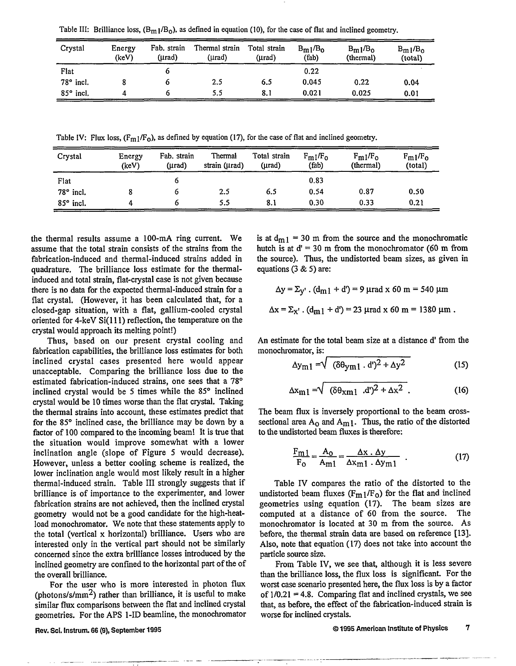| Crystal          | Energy<br>(keV) | Fab. strain<br>(µrad) | Thermal strain<br>(µrad) | Total strain<br>(urad) | $B_{m1}/B_{0}$<br>(fab) | $B_m1/B_0$<br>(thermal) | $B_m1/B_0$<br>(total) |
|------------------|-----------------|-----------------------|--------------------------|------------------------|-------------------------|-------------------------|-----------------------|
| Flat             |                 |                       |                          |                        | 0.22                    |                         |                       |
| $78^\circ$ incl. |                 |                       | 2.5                      | 6.5                    | 0.045                   | 0.22                    | 0.04                  |
| $85^\circ$ incl. |                 |                       | 5.5                      | 8.1                    | 0.021                   | 0.025                   | 0.01                  |

Table III: Brilliance loss,  $(B_m1/B_0)$ , as defined in equation (10), for the case of flat and inclined geometry.

Table IV: Flux loss,  $(F_{m1}/F_0)$ , as defined by equation (17), for the case of flat and inclined geometry.

| Crystal          | Energy<br>(keV) | Fab. strain<br>(µrad) | Thermal<br>strain $(\mu rad)$ | Total strain<br>$(\mu rad)$ | $F_{m1}/F_{0}$<br>(fab) | $F_{m1}/F_{0}$<br>(thermal) | $F_m$ <sub>1</sub> $F_o$<br>(total) |
|------------------|-----------------|-----------------------|-------------------------------|-----------------------------|-------------------------|-----------------------------|-------------------------------------|
| Flat             |                 |                       |                               |                             | 0.83                    |                             |                                     |
| $78^\circ$ incl. |                 |                       | 2.5                           | 6.5                         | 0.54                    | 0.87                        | 0.50                                |
| $85^\circ$ incl. | 4               |                       | 5.5                           | 8.1                         | 0.30                    | 0.33                        | 0.21                                |

the thermal results assume a 100-mA ring current. We assume that the total strain consists of the strains from the fabrication-induced and thermal-induced strains added in quadrature. The brilliance loss estimate for the thermalinduced and total strain, flat-crystal case is not given because there is no data for the expected thermal-induced strain for a flat crystal. (However, it has been calculated that, for a closed-gap situation, with a flat, gallium-cooled crystal oriented for 4-keV Si(l 11) reflection, the temperature on the crystal would approach its melting point!)

Thus, based on our present crystal cooling and fabrication capabilities, the brilliance loss estimates for both inclined crystal cases presented here would appear unacceptable. Comparing the brilliance loss due to the estimated fabrication-induced strains, one sees that a 78° inclined crystal would be 5 times while the 85° inclined crystal would be 10 times worse than the flat crystal. Taking the thermal strains into account, these estimates predict that for the 85° inclined case, the brilliance may be down by a factor of 100 compared to the incoming beam! It is true that the situation would improve somewhat with a lower inclination angle (slope of Figure 5 would decrease). However, unless a better cooling scheme is realized, the lower inclination angle would most likely result in a higher thermal-induced strain. Table III strongly suggests that if brilliance is of importance to the experimenter, and lower fabrication strains are not achieved, then the inclined crystal geometry would not be a good candidate for the high-heatload monochromator. We note that these statements apply to the total (vertical x horizontal) brilliance. Users who are interested only in the vertical part should not be similarly concerned since the extra brilliance losses introduced by the inclined geometry are confined to the horizontal part of the of the overall brilliance.

For the user who is more interested in photon flux (photons/s/mm<sup>2</sup>) rather than brilliance, it is useful to make similar flux comparisons between the flat and inclined crystal geometries. For the APS 1-ID beamline, the monochromator

is at  $d_{m1}$  = 30 m from the source and the monochromatic hutch is at  $d' = 30$  m from the monochromator (60 m from the source). Thus, the undistorted beam sizes, as given in equations  $(3 \& 5)$  are:

$$
\Delta y = \Sigma_{y'} \cdot (d_{m1} + d') = 9 \text{ } \mu \text{rad} \times 60 \text{ m} = 540 \text{ } \mu \text{m}
$$
\n
$$
\Delta x = \Sigma_{x'} \cdot (d_{m1} + d') = 23 \text{ } \mu \text{rad} \times 60 \text{ m} = 1380 \text{ } \mu \text{m} \text{ .}
$$

An estimate for the total beam size at a distance d' from the monochromator, is:

$$
\Delta y_{m1} = \sqrt{\left(\delta \theta_{\text{y}}(1) \cdot d\right)^2 + \Delta y^2}
$$
 (15)

$$
\Delta x_{m1} = \sqrt{\left(\delta \theta_{xm1} \cdot d'\right)^2 + \Delta x^2} \ . \tag{16}
$$

The beam flux is inversely proportional to the beam crosssectional area  $A_0$  and  $A_{m1}$ . Thus, the ratio of the distorted to the undistorted beam fluxes is therefore:

$$
\frac{F_{m1}}{F_0} = \frac{A_0}{A_{m1}} = \frac{\Delta x \cdot \Delta y}{\Delta x_{m1} \cdot \Delta y_{m1}} \tag{17}
$$

Table IV compares the ratio of the distorted to the undistorted beam fluxes ( $F_m1/F_0$ ) for the flat and inclined geometries using equation (17). The beam sizes are computed at a distance of 60 from the source. The monochromator is located at 30 m from the source. As before, the thermal strain data are based on reference [13]. Also, note that equation (17) does not take into account the particle source size.

From Table IV, we see that, although it is less severe than the brilliance loss, the flux loss is significant. For the worst case scenario presented here, the flux loss is by a factor of  $1/0.21 = 4.8$ . Comparing flat and inclined crystals, we see that, as before, the effect of the fabrication-induced strain is worse for inclined crystals.